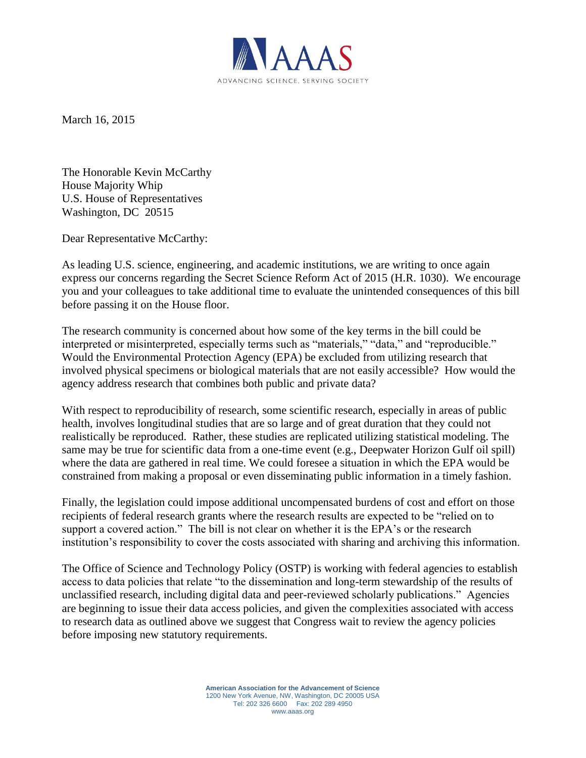

March 16, 2015

The Honorable Kevin McCarthy House Majority Whip U.S. House of Representatives Washington, DC 20515

Dear Representative McCarthy:

As leading U.S. science, engineering, and academic institutions, we are writing to once again express our concerns regarding the Secret Science Reform Act of 2015 (H.R. 1030). We encourage you and your colleagues to take additional time to evaluate the unintended consequences of this bill before passing it on the House floor.

The research community is concerned about how some of the key terms in the bill could be interpreted or misinterpreted, especially terms such as "materials," "data," and "reproducible." Would the Environmental Protection Agency (EPA) be excluded from utilizing research that involved physical specimens or biological materials that are not easily accessible? How would the agency address research that combines both public and private data?

With respect to reproducibility of research, some scientific research, especially in areas of public health, involves longitudinal studies that are so large and of great duration that they could not realistically be reproduced. Rather, these studies are replicated utilizing statistical modeling. The same may be true for scientific data from a one-time event (e.g., Deepwater Horizon Gulf oil spill) where the data are gathered in real time. We could foresee a situation in which the EPA would be constrained from making a proposal or even disseminating public information in a timely fashion.

Finally, the legislation could impose additional uncompensated burdens of cost and effort on those recipients of federal research grants where the research results are expected to be "relied on to support a covered action." The bill is not clear on whether it is the EPA's or the research institution's responsibility to cover the costs associated with sharing and archiving this information.

The Office of Science and Technology Policy (OSTP) is working with federal agencies to establish access to data policies that relate "to the dissemination and long-term stewardship of the results of unclassified research, including digital data and peer-reviewed scholarly publications." Agencies are beginning to issue their data access policies, and given the complexities associated with access to research data as outlined above we suggest that Congress wait to review the agency policies before imposing new statutory requirements.